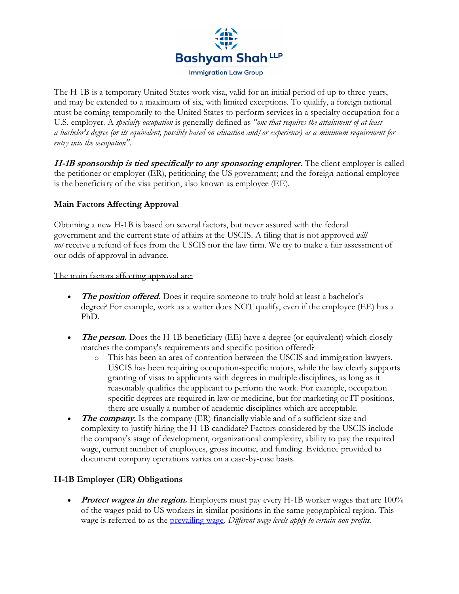

The H-1B is a temporary United States work visa, valid for an initial period of up to three-years, and may be extended to a maximum of six, with limited exceptions. To qualify, a foreign national must be coming temporarily to the United States to perform services in a specialty occupation for a U.S. employer. A *specialty occupation* is generally defined as *"one that requires the attainment of at least a bachelor's degree (or its equivalent, possibly based on education and/or experience) as a minimum requirement for entry into the occupation"*.

**H-1B sponsorship is tied specifically to any sponsoring employer.** The client employer is called the petitioner or employer (ER), petitioning the US government; and the foreign national employee is the beneficiary of the visa petition, also known as employee (EE).

# **Main Factors Affecting Approval**

Obtaining a new H-1B is based on several factors, but never assured with the federal government and the current state of affairs at the USCIS. A filing that is not approved *will not* receive a refund of fees from the USCIS nor the law firm. We try to make a fair assessment of our odds of approval in advance.

The main factors affecting approval are:

- The *position offered*. Does it require someone to truly hold at least a bachelor's degree? For example, work as a waiter does NOT qualify, even if the employee (EE) has a PhD.
- *The person.* Does the H-1B beneficiary (EE) have a degree (or equivalent) which closely matches the company's requirements and specific position offered?
	- o This has been an area of contention between the USCIS and immigration lawyers. USCIS has been requiring occupation-specific majors, while the law clearly supports granting of visas to applicants with degrees in multiple disciplines, as long as it reasonably qualifies the applicant to perform the work. For example, occupation specific degrees are required in law or medicine, but for marketing or IT positions, there are usually a number of academic disciplines which are acceptable.
- **The company.** Is the company (ER) financially viable and of a sufficient size and complexity to justify hiring the H-1B candidate? Factors considered by the USCIS include the company's stage of development, organizational complexity, ability to pay the required wage, current number of employees, gross income, and funding. Evidence provided to document company operations varies on a case-by-case basis.

# **H-1B Employer (ER) Obligations**

• *Protect wages in the region.* Employers must pay every H-1B worker wages that are 100% of the wages paid to US workers in similar positions in the same geographical region. This wage is referred to as the [prevailing wage.](https://www.flcdatacenter.com/) *Different wage levels apply to certain non-profits.*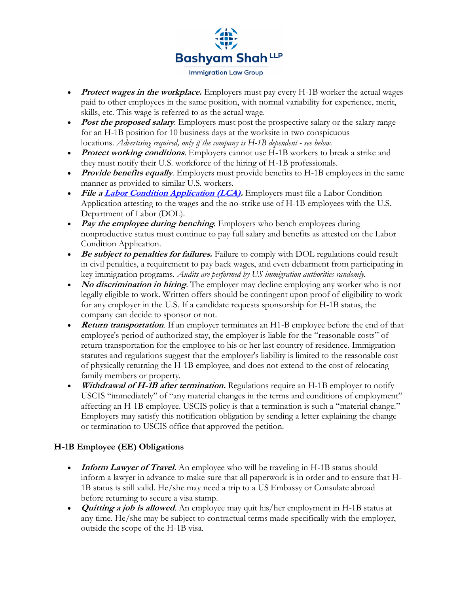

- **Protect wages in the workplace.** Employers must pay every H-1B worker the actual wages paid to other employees in the same position, with normal variability for experience, merit, skills, etc. This wage is referred to as the actual wage.
- **Post the proposed salary**. Employers must post the prospective salary or the salary range for an H-1B position for 10 business days at the worksite in two conspicuous locations. *Advertising required, only if the company is H-1B dependent - see below.*
- **Protect working conditions**. Employers cannot use H-1B workers to break a strike and they must notify their U.S. workforce of the hiring of H-1B professionals.
- *Provide benefits equally*. Employers must provide benefits to H-1B employees in the same manner as provided to similar U.S. workers.
- File a **[Labor Condition Application \(LCA\).](https://flag.dol.gov/programs/lca)** Employers must file a Labor Condition Application attesting to the wages and the no-strike use of H-1B employees with the U.S. Department of Labor (DOL).
- **Pay the employee during benching**. Employers who bench employees during nonproductive status must continue to pay full salary and benefits as attested on the Labor Condition Application.
- **Be subject to penalties for failures.** Failure to comply with DOL regulations could result in civil penalties, a requirement to pay back wages, and even debarment from participating in key immigration programs. *Audits are performed by US immigration authorities randomly.*
- **No discrimination in hiring**. The employer may decline employing any worker who is not legally eligible to work. Written offers should be contingent upon proof of eligibility to work for any employer in the U.S. If a candidate requests sponsorship for H-1B status, the company can decide to sponsor or not.
- **Return transportation.** If an employer terminates an H1-B employee before the end of that employee's period of authorized stay, the employer is liable for the "reasonable costs" of return transportation for the employee to his or her last country of residence. Immigration statutes and regulations suggest that the employer's liability is limited to the reasonable cost of physically returning the H-1B employee, and does not extend to the cost of relocating family members or property.
- *Withdrawal of H-1B after termination.* Regulations require an H-1B employer to notify USCIS "immediately" of "any material changes in the terms and conditions of employment" affecting an H-1B employee. USCIS policy is that a termination is such a "material change." Employers may satisfy this notification obligation by sending a letter explaining the change or termination to USCIS office that approved the petition.

# **H-1B Employee (EE) Obligations**

- **Inform Lawyer of Travel.** An employee who will be traveling in H-1B status should inform a lawyer in advance to make sure that all paperwork is in order and to ensure that H-1B status is still valid. He/she may need a trip to a US Embassy or Consulate abroad before returning to secure a visa stamp.
- **Quitting a job is allowed**. An employee may quit his/her employment in H-1B status at any time. He/she may be subject to contractual terms made specifically with the employer, outside the scope of the H-1B visa.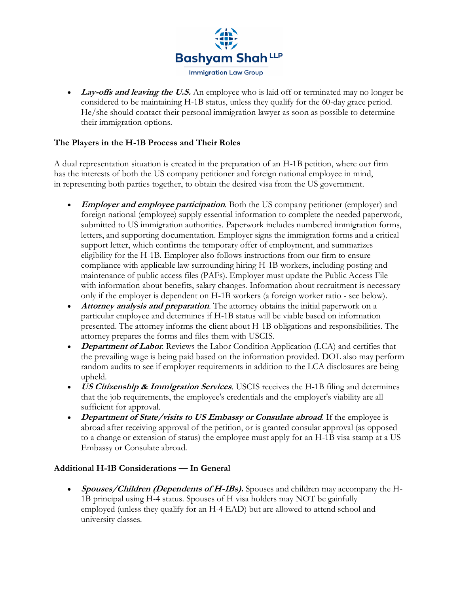

• Lay-offs and leaving the U.S. An employee who is laid off or terminated may no longer be considered to be maintaining H-1B status, unless they qualify for the 60-day grace period. He/she should contact their personal immigration lawyer as soon as possible to determine their immigration options.

### **The Players in the H-1B Process and Their Roles**

A dual representation situation is created in the preparation of an H-1B petition, where our firm has the interests of both the US company petitioner and foreign national employee in mind, in representing both parties together, to obtain the desired visa from the US government.

- **Employer and employee participation**. Both the US company petitioner (employer) and foreign national (employee) supply essential information to complete the needed paperwork, submitted to US immigration authorities. Paperwork includes numbered immigration forms, letters, and supporting documentation. Employer signs the immigration forms and a critical support letter, which confirms the temporary offer of employment, and summarizes eligibility for the H-1B. Employer also follows instructions from our firm to ensure compliance with applicable law surrounding hiring H-1B workers, including posting and maintenance of public access files (PAFs). Employer must update the Public Access File with information about benefits, salary changes. Information about recruitment is necessary only if the employer is dependent on H-1B workers (a foreign worker ratio - see below).
- *Attorney analysis and preparation*. The attorney obtains the initial paperwork on a particular employee and determines if H-1B status will be viable based on information presented. The attorney informs the client about H-1B obligations and responsibilities. The attorney prepares the forms and files them with USCIS.
- **Department of Labor**. Reviews the Labor Condition Application (LCA) and certifies that the prevailing wage is being paid based on the information provided. DOL also may perform random audits to see if employer requirements in addition to the LCA disclosures are being upheld.
- **US Citizenship & Immigration Services**. USCIS receives the H-1B filing and determines that the job requirements, the employee's credentials and the employer's viability are all sufficient for approval.
- **Department of State/visits to US Embassy or Consulate abroad**. If the employee is abroad after receiving approval of the petition, or is granted consular approval (as opposed to a change or extension of status) the employee must apply for an H-1B visa stamp at a US Embassy or Consulate abroad.

### **Additional H-1B Considerations — In General**

• **Spouses/Children (Dependents of H-1Bs).** Spouses and children may accompany the H-1B principal using H-4 status. Spouses of H visa holders may NOT be gainfully employed (unless they qualify for an H-4 EAD) but are allowed to attend school and university classes.